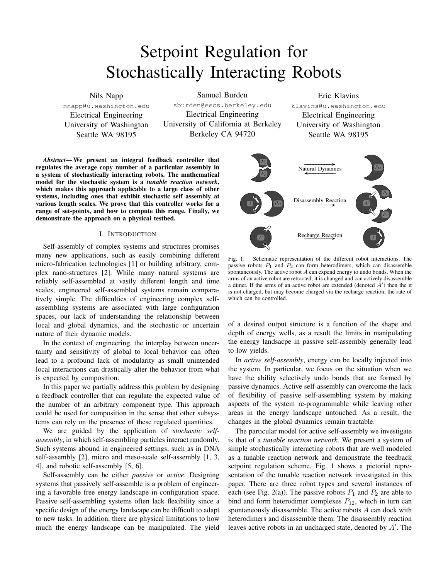# Setpoint Regulation for Stochastically Interacting Robots

Nils Napp

nnapp@u.washington.edu Electrical Engineering University of Washington Seattle WA 98195

Samuel Burden sburden@eecs.berkeley.edu Electrical Engineering University of California at Berkeley Berkeley CA 94720

*Abstract***—We present an integral feedback controller that regulates the average copy number of a particular assembly in a system of stochastically interacting robots. The mathematical model for the stochastic system is a** *tunable reaction network***, which makes this approach applicable to a large class of other systems, including ones that exhibit stochastic self assembly at various length scales. We prove that this controller works for a range of set-points, and how to compute this range. Finally, we demonstrate the approach on a physical testbed.**

## I. INTRODUCTION

Self-assembly of complex systems and structures promises many new applications, such as easily combining different micro-fabrication technologies [1] or building arbitrary, complex nano-structures [2]. While many natural systems are reliably self-assembled at vastly different length and time scales, engineered self-assembled systems remain comparatively simple. The difficulties of engineering complex selfassembling systems are associated with large configuration spaces, our lack of understanding the relationship between local and global dynamics, and the stochastic or uncertain nature of their dynamic models.

In the context of engineering, the interplay between uncertainty and sensitivity of global to local behavior can often lead to a profound lack of modularity as small unintended local interactions can drastically alter the behavior from what is expected by composition.

In this paper we partially address this problem by designing a feedback controller that can regulate the expected value of the number of an arbitrary component type. This approach could be used for composition in the sense that other subsystems can rely on the presence of these regulated quantities.

We are guided by the application of *stochastic selfassembly*, in which self-assembling particles interact randomly. Such systems abound in engineered settings, such as in DNA self-assembly [2], micro and meso-scale self-assembly [1, 3, 4], and robotic self-assembly [5, 6].

Self-assembly can be either *passive* or *active*. Designing systems that passively self-assemble is a problem of engineering a favorable free energy landscape in configuration space. Passive self-assembling systems often lack flexibility since a specific design of the energy landscape can be difficult to adapt to new tasks. In addition, there are physical limitations to how much the energy landscape can be manipulated. The yield

## Eric Klavins

klavins@u.washington.edu Electrical Engineering University of Washington Seattle WA 98195



Fig. 1. Schematic representation of the different robot interactions. The passive robots  $P_1$  and  $P_2$  can form heterodimers, which can disassemble spontaneously. The active robot  $A$  can expend energy to undo bonds. When the arms of an active robot are retracted, it is changed and can actively disassemble a dimer. If the arms of an active robot are extended (denoted  $A'$ ) then the it is not charged, but may become charged via the recharge reaction, the rate of which can be controlled.

of a desired output structure is a function of the shape and depth of energy wells, as a result the limits in manipulating the energy landsacpe in passive self-assembly generally lead to low yields.

In *active self-assembly*, energy can be locally injected into the system. In particular, we focus on the situation when we have the ability selectively undo bonds that are formed by passive dynamics. Active self-assembly can overcome the lack of flexibility of passive self-assembling system by making aspects of the system re-programmable while leaving other areas in the energy landscape untouched. As a result, the changes in the global dynamics remain tractable.

The particular model for active self-assembly we investigate is that of a *tunable reaction network*. We present a system of simple stochastically interacting robots that are well modeled as a tunable reaction network and demonstrate the feedback setpoint regulation scheme. Fig. 1 shows a pictorial representation of the tunable reaction network investigated in this paper. There are three robot types and several instances of each (see Fig. 2(a)). The passive robots  $P_1$  and  $P_2$  are able to bind and form heterodimer complexes  $P_{12}$ , which in turn can spontaneously disassemble. The active robots A can dock with heterodimers and disassemble them. The disassembly reaction leaves active robots in an uncharged state, denoted by  $A'$ . The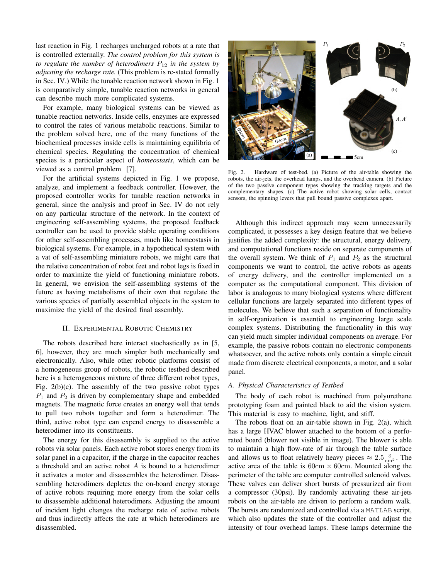last reaction in Fig. 1 recharges uncharged robots at a rate that is controlled externally. *The control problem for this system is to regulate the number of heterodimers*  $P_{12}$  *in the system by adjusting the recharge rate.* (This problem is re-stated formally in Sec. IV.) While the tunable reaction network shown in Fig. 1 is comparatively simple, tunable reaction networks in general can describe much more complicated systems.

For example, many biological systems can be viewed as tunable reaction networks. Inside cells, enzymes are expressed to control the rates of various metabolic reactions. Similar to the problem solved here, one of the many functions of the biochemical processes inside cells is maintaining equilibria of chemical species. Regulating the concentration of chemical species is a particular aspect of *homeostasis*, which can be viewed as a control problem [7].

For the artificial systems depicted in Fig. 1 we propose, analyze, and implement a feedback controller. However, the proposed controller works for tunable reaction networks in general, since the analysis and proof in Sec. IV do not rely on any particular structure of the network. In the context of engineering self-assembling systems, the proposed feedback controller can be used to provide stable operating conditions for other self-assembling processes, much like homeostasis in biological systems. For example, in a hypothetical system with a vat of self-assembling miniature robots, we might care that the relative concentration of robot feet and robot legs is fixed in order to maximize the yield of functioning miniature robots. In general, we envision the self-assembling systems of the future as having metabolisms of their own that regulate the various species of partially assembled objects in the system to maximize the yield of the desired final assembly.

#### II. EXPERIMENTAL ROBOTIC CHEMISTRY

The robots described here interact stochastically as in [5, 6], however, they are much simpler both mechanically and electronically. Also, while other robotic platforms consist of a homogeneous group of robots, the robotic testbed described here is a heterogeneous mixture of three different robot types, Fig.  $2(b)(c)$ . The assembly of the two passive robot types  $P_1$  and  $P_2$  is driven by complementary shape and embedded magnets. The magnetic force creates an energy well that tends to pull two robots together and form a heterodimer. The third, active robot type can expend energy to disassemble a heterodimer into its constituents.

The energy for this disassembly is supplied to the active robots via solar panels. Each active robot stores energy from its solar panel in a capacitor, if the charge in the capacitor reaches a threshold and an active robot A is bound to a heterodimer it activates a motor and disassembles the heterodimer. Disassembling heterodimers depletes the on-board energy storage of active robots requiring more energy from the solar cells to disassemble additional heterodimers. Adjusting the amount of incident light changes the recharge rate of active robots and thus indirectly affects the rate at which heterodimers are disassembled.



Fig. 2. Hardware of test-bed. (a) Picture of the air-table showing the robots, the air-jets, the overhead lamps, and the overhead camera. (b) Picture of the two passive component types showing the tracking targets and the complementary shapes. (c) The active robot showing solar cells, contact sensors, the spinning levers that pull bound passive complexes apart.

Although this indirect approach may seem unnecessarily complicated, it possesses a key design feature that we believe justifies the added complexity: the structural, energy delivery, and computational functions reside on separate components of the overall system. We think of  $P_1$  and  $P_2$  as the structural components we want to control, the active robots as agents of energy delivery, and the controller implemented on a computer as the computational component. This division of labor is analogous to many biological systems where different cellular functions are largely separated into different types of molecules. We believe that such a separation of functionality in self-organization is essential to engineering large scale complex systems. Distributing the functionality in this way can yield much simpler individual components on average. For example, the passive robots contain no electronic components whatsoever, and the active robots only contain a simple circuit made from discrete electrical components, a motor, and a solar panel.

## *A. Physical Characteristics of Testbed*

The body of each robot is machined from polyurethane prototyping foam and painted black to aid the vision system. This material is easy to machine, light, and stiff.

The robots float on an air-table shown in Fig. 2(a), which has a large HVAC blower attached to the bottom of a perforated board (blower not visible in image). The blower is able to maintain a high flow-rate of air through the table surface and allows us to float relatively heavy pieces  $\approx 2.5 \frac{\text{g}}{\text{cm}^2}$ . The active area of the table is  $60 \text{cm} \times 60 \text{cm}$ . Mounted along the perimeter of the table are computer controlled solenoid valves. These valves can deliver short bursts of pressurized air from a compressor (30psi). By randomly activating these air-jets robots on the air-table are driven to perform a random walk. The bursts are randomized and controlled via a MATLAB script, which also updates the state of the controller and adjust the intensity of four overhead lamps. These lamps determine the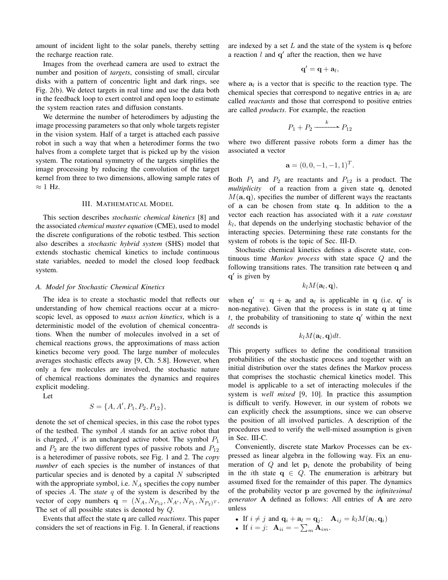amount of incident light to the solar panels, thereby setting the recharge reaction rate.

Images from the overhead camera are used to extract the number and position of *targets*, consisting of small, circular disks with a pattern of concentric light and dark rings, see Fig. 2(b). We detect targets in real time and use the data both in the feedback loop to exert control and open loop to estimate the system reaction rates and diffusion constants.

We determine the number of heterodimers by adjusting the image processing parameters so that only whole targets register in the vision system. Half of a target is attached each passive robot in such a way that when a heterodimer forms the two halves from a complete target that is picked up by the vision system. The rotational symmetry of the targets simplifies the image processing by reducing the convolution of the target kernel from three to two dimensions, allowing sample rates of  $≈ 1$  Hz.

#### III. MATHEMATICAL MODEL

This section describes *stochastic chemical kinetics* [8] and the associated *chemical master equation* (CME), used to model the discrete configurations of the robotic testbed. This section also describes a *stochastic hybrid system* (SHS) model that extends stochastic chemical kinetics to include continuous state variables, needed to model the closed loop feedback system.

### *A. Model for Stochastic Chemical Kinetics*

The idea is to create a stochastic model that reflects our understanding of how chemical reactions occur at a microscopic level, as opposed to *mass action kinetics*, which is a deterministic model of the evolution of chemical concentrations. When the number of molecules involved in a set of chemical reactions grows, the approximations of mass action kinetics become very good. The large number of molecules averages stochastic effects away [9, Ch. 5.8]. However, when only a few molecules are involved, the stochastic nature of chemical reactions dominates the dynamics and requires explicit modeling.

Let

$$
S = \{A, A', P_1, P_2, P_{12}\},\
$$

denote the set of chemical species, in this case the robot types of the testbed. The symbol A stands for an active robot that is charged,  $A'$  is an uncharged active robot. The symbol  $P_1$ and  $P_2$  are the two different types of passive robots and  $P_{12}$ is a heterodimer of passive robots, see Fig. 1 and 2. The *copy number* of each species is the number of instances of that particular species and is denoted by a capital  $N$  subscripted with the appropriate symbol, i.e.  $N_A$  specifies the copy number of species A. The *state* q of the system is described by the vector of copy numbers  ${\bf q} = (N_A, N_{P_{12}}, N_{A'}, N_{P_1}, N_{P_2})^T$ . The set of all possible states is denoted by Q.

Events that affect the state q are called *reactions*. This paper considers the set of reactions in Fig. 1. In General, if reactions are indexed by a set  $L$  and the state of the system is q before a reaction  $l$  and  $q'$  after the reaction, then we have

$$
\mathbf{q}'=\mathbf{q}+\mathbf{a}_l,
$$

where  $a_i$  is a vector that is specific to the reaction type. The chemical species that correspond to negative entries in  $a_l$  are called *reactants* and those that correspond to positive entries are called *products*. For example, the reaction

$$
P_1 + P_2 \xrightarrow{k} P_{12}
$$

where two different passive robots form a dimer has the associated a vector

$$
\mathbf{a} = (0, 0, -1, -1, 1)^T.
$$

Both  $P_1$  and  $P_2$  are reactants and  $P_{12}$  is a product. The *multiplicity* of a reaction from a given state q, denoted  $M(\mathbf{a}, \mathbf{q})$ , specifies the number of different ways the reactants of a can be chosen from state q. In addition to the a vector each reaction has associated with it a *rate constant*  $k_l$ , that depends on the underlying stochastic behavior of the interacting species. Determining these rate constants for the system of robots is the topic of Sec. III-D.

Stochastic chemical kinetics defines a discrete state, continuous time *Markov process* with state space Q and the following transitions rates. The transition rate between q and q ′ is given by

$$
k_l M(\mathbf{a}_l,\mathbf{q}),
$$

when  $\mathbf{q}' = \mathbf{q} + \mathbf{a}_l$  and  $\mathbf{a}_l$  is applicable in q (i.e.  $\mathbf{q}'$  is non-negative). Given that the process is in state q at time  $t$ , the probability of transitioning to state  $q'$  within the next dt seconds is

 $k_l M(\mathbf{a}_l, \mathbf{q}) dt$ .

This property suffices to define the conditional transition probabilities of the stochastic process and together with an initial distribution over the states defines the Markov process that comprises the stochastic chemical kinetics model. This model is applicable to a set of interacting molecules if the system is *well mixed* [9, 10]. In practice this assumption is difficult to verify. However, in our system of robots we can explicitly check the assumptions, since we can observe the position of all involved particles. A description of the procedures used to verify the well-mixed assumption is given in Sec. III-C.

Conveniently, discrete state Markov Processes can be expressed as linear algebra in the following way. Fix an enumeration of  $Q$  and let  $p_i$  denote the probability of being in the *i*th state  $q \in Q$ . The enumeration is arbitrary but assumed fixed for the remainder of this paper. The dynamics of the probability vector p are governed by the *infinitesimal generator* A defined as follows: All entries of A are zero unless

\n- If 
$$
i \neq j
$$
 and  $\mathbf{q}_i + \mathbf{a}_l = \mathbf{q}_j$ :  $\mathbf{A}_{ij} = k_l M(\mathbf{a}_l, \mathbf{q}_i)$
\n- If  $i = j$ :  $\mathbf{A}_{ii} = -\sum_m \mathbf{A}_{im}$ .
\n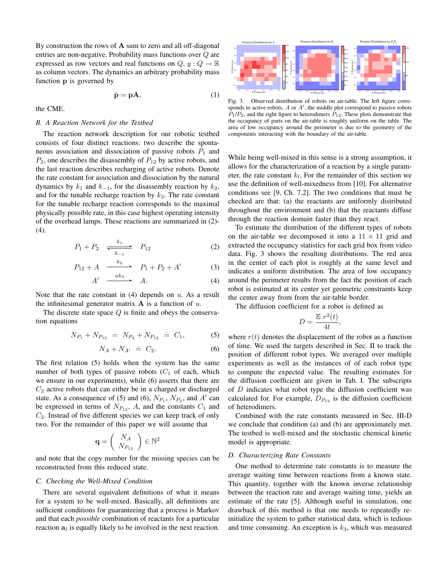By construction the rows of  $A$  sum to zero and all off-diagonal entries are non-negative. Probability mass functions over Q are expressed as row vectors and real functions on  $Q, y: Q \to \mathbb{R}$ as column vectors. The dynamics an arbitrary probability mass function p is governed by

$$
\dot{\mathbf{p}} = \mathbf{p}\mathbf{A},\tag{1}
$$

the CME.

## *B. A Reaction Network for the Testbed*

The reaction network description for our robotic testbed consists of four distinct reactions: two describe the spontaneous association and dissociation of passive robots  $P_1$  and  $P_2$ , one describes the disassembly of  $P_{12}$  by active robots, and the last reaction describes recharging of active robots. Denote the rate constant for association and dissociation by the natural dynamics by  $k_1$  and  $k_{-1}$ , for the disassembly reaction by  $k_2$ , and for the tunable recharge reaction by  $k_3$ . The rate constant for the tunable recharge reaction corresponds to the maximal physically possible rate, in this case highest operating intensity of the overhead lamps. These reactions are summarized in (2)- (4).

$$
P_1 + P_2 \xrightarrow[k_{-1}]{k_1} P_{12} \tag{2}
$$

$$
P_{12} + A \xrightarrow{k_2} P_1 + P_2 + A'
$$
 (3)

$$
A' \xrightarrow{u\kappa_3} A. \tag{4}
$$

Note that the rate constant in  $(4)$  depends on  $u$ . As a result the infinitesimal generator matrix  $A$  is a function of  $u$ .

The discrete state space  $Q$  is finite and obeys the conservation equations

$$
N_{P_1} + N_{P_{12}} = N_{P_2} + N_{P_{12}} \doteq C_1, \tag{5}
$$

$$
N_A + N_{A'} \doteq C_2. \tag{6}
$$

The first relation (5) holds when the system has the same number of both types of passive robots  $(C_1$  of each, which we ensure in our experiments), while (6) asserts that there are  $C_2$  active robots that can either be in a charged or discharged state. As a consequence of (5) and (6),  $N_{P_1}$ ,  $N_{P_2}$ , and  $A'$  can be expressed in terms of  $N_{P_{12}}$ , A, and the constants  $C_1$  and  $C_2$ . Instead of five different species we can keep track of only two. For the remainder of this paper we will assume that

$$
\mathbf{q} = \left(\begin{array}{c} N_A \\ N_{P_{12}} \end{array}\right) \in \mathbb{N}^2
$$

and note that the copy number for the missing species can be reconstructed from this reduced state.

#### *C. Checking the Well-Mixed Condition*

There are several equivalent definitions of what it means for a system to be well-mixed. Basically, all definitions are sufficient conditions for guaranteeing that a process is Markov and that each *possible* combination of reactants for a particular reaction  $a_l$  is equally likely to be involved in the next reaction.



Fig. 3. Observed distribution of robots on air-table. The left figure corresponds to active robots,  $A$  or  $A'$ , the middle plot correspond to passive robots  $P_1/P_2$ , and the right figure to heterodimers  $P_{12}$ . These plots demonstrate that the occupancy of parts on the air-table is roughly uniform on the table. The area of low occupancy around the perimeter is due to the geometry of the components interacting with the boundary of the air-table.

While being well-mixed in this sense is a strong assumption, it allows for the characterization of a reaction by a single parameter, the rate constant  $k_l$ . For the remainder of this section we use the definition of well-mixedness from [10]. For alternative conditions see [9, Ch. 7.2]. The two conditions that must be checked are that: (a) the reactants are uniformly distributed throughout the environment and (b) that the reactants diffuse through the reaction domain faster than they react.

To estimate the distribution of the different types of robots on the air-table we decomposed it into a  $11 \times 11$  grid and extracted the occupancy statistics for each grid box from video data. Fig. 3 shows the resulting distributions. The red area in the center of each plot is roughly at the same level and indicates a uniform distribution. The area of low occupancy around the perimeter results from the fact the position of each robot is estimated at its center yet geometric constraints keep the center away from from the air-table border.

The diffusion coefficient for a robot is defined as

$$
D = \frac{\mathbb{E} r^2(t)}{4t},
$$

where  $r(t)$  denotes the displacement of the robot as a function of time. We used the targets described in Sec. II to track the position of different robot types. We averaged over multiple experiments as well as the instances of of each robot type to compute the expected value. The resulting estimates for the diffusion coefficient are given in Tab. I. The subscripts of  $D$  indicates what robot type the diffusion coefficient was calculated for. For example,  $D_{P_{12}}$  is the diffusion coefficient of heterodimers.

Combined with the rate constants measured in Sec. III-D we conclude that condition (a) and (b) are approximately met. The testbed is well-mixed and the stochastic chemical kinetic model is appropriate.

## *D. Characterizing Rate Constants*

One method to determine rate constants is to measure the average waiting time between reactions from a known state. This quantity, together with the known inverse relationship between the reaction rate and average waiting time, yields an estimate of the rate [5]. Although useful in simulation, one drawback of this method is that one needs to repeatedly reinitialize the system to gather statistical data, which is tedious and time consuming. An exception is  $k_3$ , which was measured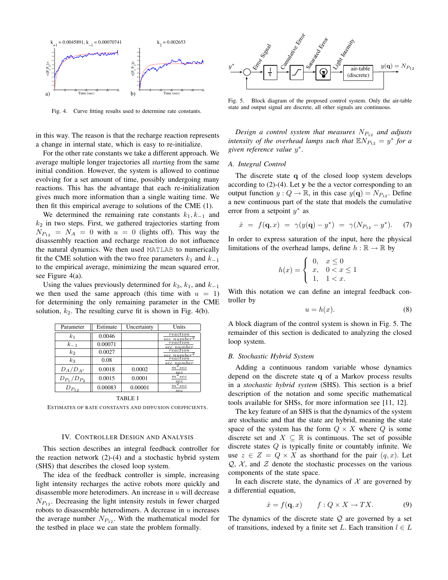

Fig. 4. Curve fitting results used to determine rate constants.

in this way. The reason is that the recharge reaction represents a change in internal state, which is easy to re-initialize.

For the other rate constants we take a different approach. We average multiple longer trajectories all *starting* from the same initial condition. However, the system is allowed to continue evolving for a set amount of time, possibly undergoing many reactions. This has the advantage that each re-initialization gives much more information than a single waiting time. We then fit this empirical average to solutions of the CME (1).

We determined the remaining rate constants  $k_1, k_{-1}$  and  $k_2$  in two steps. First, we gathered trajectories starting from  $N_{P_{12}} = N_A = 0$  with  $u = 0$  (lights off). This way the disassembly reaction and recharge reaction do not influence the natural dynamics. We then used MATLAB to numerically fit the CME solution with the two free parameters  $k_1$  and  $k_{-1}$ to the empirical average, minimizing the mean squared error, see Figure 4(a).

Using the values previously determined for  $k_3$ ,  $k_1$ , and  $k_{-1}$ we then used the same approach (this time with  $u = 1$ ) for determining the only remaining parameter in the CME solution,  $k_2$ . The resulting curve fit is shown in Fig. 4(b).

| Parameter         | Estimate | Uncertainty | Units                                      |
|-------------------|----------|-------------|--------------------------------------------|
| k <sub>1</sub>    | 0.0046   |             | reaction<br>$sec\ number^2$                |
| $k_{-1}$          | 0.00071  |             | reaction<br>$\frac{sec\ number}{reaction}$ |
| k <sub>2</sub>    | 0.0027   |             | $sec\ number^2$                            |
| $k_3$             | 0.08     |             | reaction                                   |
| $D_A/D_{A'}$      | 0.0018   | 0.0002      | $\frac{sec \ number}{m^2 sec}$             |
| $D_{P_1}/D_{P_2}$ | 0.0015   | 0.0001      | $\frac{sec}{m^2 sec}$<br>sec               |
| $D_{P_{12}}$      | 0.00083  | 0.00001     | $m$ <sup>2</sup> sec<br>sec                |

TABLE I

ESTIMATES OF RATE CONSTANTS AND DIFFUSION COEFFICIENTS.

#### IV. CONTROLLER DESIGN AND ANALYSIS

This section describes an integral feedback controller for the reaction network (2)-(4) and a stochastic hybrid system (SHS) that describes the closed loop system.

The idea of the feedback controller is simple, increasing light intensity recharges the active robots more quickly and disassemble more heterodimers. An increase in  $u$  will decrease  $N_{P_{12}}$ . Decreasing the light intensity restuls in fewer charged robots to disassemble heterodimers. A decrease in  $u$  increases the average number  $N_{P_{12}}$ . With the mathematical model for the testbed in place we can state the problem formally.



Fig. 5. Block diagram of the proposed control system. Only the air-table state and output signal are discrete, all other signals are continuous.

*Design a control system that measures*  $N_{P_{12}}$  *and adjusts intensity of the overhead lamps such that*  $\mathbb{E} N_{P_{12}}^{\sim} = y^*$  *for a given reference value* y ∗ *.*

## *A. Integral Control*

The discrete state q of the closed loop system develops according to  $(2)-(4)$ . Let y be the a vector corresponding to an output function  $y: Q \to \mathbb{R}$ , in this case  $y(\mathbf{q}) = N_{P_{12}}$ . Define a new continuous part of the state that models the cumulative error from a setpoint  $y^*$  as

$$
\dot{x} = f(\mathbf{q}, x) = \gamma(y(\mathbf{q}) - y^*) = \gamma(N_{P_{12}} - y^*).
$$
 (7)

In order to express saturation of the input, here the physical limitations of the overhead lamps, define  $h : \mathbb{R} \to \mathbb{R}$  by

$$
h(x) = \begin{cases} 0, & x \le 0 \\ x, & 0 < x \le 1 \\ 1, & 1 < x. \end{cases}
$$

With this notation we can define an integral feedback controller by

$$
u = h(x). \tag{8}
$$

A block diagram of the control system is shown in Fig. 5. The remainder of this section is dedicated to analyzing the closed loop system.

## *B. Stochastic Hybrid System*

Adding a continuous random variable whose dynamics depend on the discrete state q of a Markov process results in a *stochastic hybrid system* (SHS). This section is a brief description of the notation and some specific mathematical tools available for SHSs, for more information see [11, 12].

The key feature of an SHS is that the dynamics of the system are stochastic and that the state are hybrid, meaning the state space of the system has the form  $Q \times X$  where Q is some discrete set and  $X \subseteq \mathbb{R}$  is continuous. The set of possible discrete states Q is typically finite or countably infinite. We use  $z \in Z = Q \times X$  as shorthand for the pair  $(q, x)$ . Let  $Q, \mathcal{X}$ , and  $\mathcal Z$  denote the stochastic processes on the various components of the state space.

In each discrete state, the dynamics of  $X$  are governed by a differential equation,

$$
\dot{x} = f(\mathbf{q}, x) \qquad f: Q \times X \to TX. \tag{9}
$$

The dynamics of the discrete state  $Q$  are governed by a set of transitions, indexed by a finite set L. Each transition  $l \in L$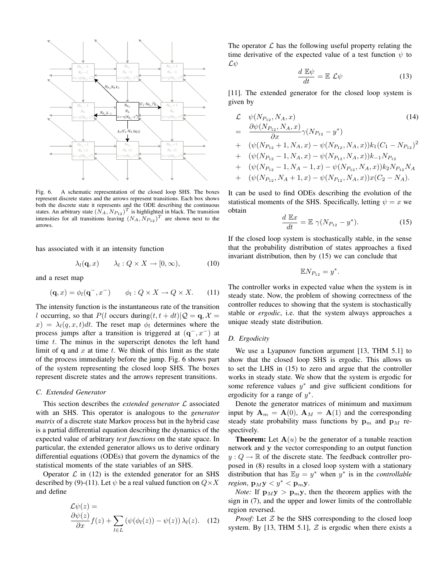

Fig. 6. A schematic representation of the closed loop SHS. The boxes represent discrete states and the arrows represent transitions. Each box shows both the discrete state it represents and the ODE describing the continuous states. An arbitrary state  $(N_A, N_{P_{12}})^T$  is highlighted in black. The transition intensities for all transitions leaving  $(N_A, N_{P_{12}})^T$  are shown next to the arrows.

has associated with it an intensity function

$$
\lambda_l(\mathbf{q},x) \qquad \lambda_l: Q \times X \to [0,\infty), \tag{10}
$$

and a reset map

$$
(\mathbf{q},x) = \phi_l(\mathbf{q}^-,x^-) \qquad \phi_l: Q \times X \to Q \times X. \tag{11}
$$

The intensity function is the instantaneous rate of the transition l occurring, so that  $P(l$  occurs during $(t, t + dt)|Q = q$ ,  $\mathcal{X} =$  $x = \lambda_l(q, x, t)dt$ . The reset map  $\phi_l$  determines where the process jumps after a transition is triggered at  $(q^{-}, x^{-})$  at time t. The minus in the superscript denotes the left hand limit of  $q$  and  $x$  at time  $t$ . We think of this limit as the state of the process immediately before the jump. Fig. 6 shows part of the system representing the closed loop SHS. The boxes represent discrete states and the arrows represent transitions.

#### *C. Extended Generator*

This section describes the *extended generator* L associated with an SHS. This operator is analogous to the *generator matrix* of a discrete state Markov process but in the hybrid case is a partial differential equation describing the dynamics of the expected value of arbitrary *test functions* on the state space. In particular, the extended generator allows us to derive ordinary differential equations (ODEs) that govern the dynamics of the statistical moments of the state variables of an SHS.

Operator  $\mathcal L$  in (12) is the extended generator for an SHS described by (9)-(11). Let  $\psi$  be a real valued function on  $Q \times X$ and define

$$
\mathcal{L}\psi(z) =
$$
  
\n
$$
\frac{\partial \psi(z)}{\partial x} f(z) + \sum_{l \in L} (\psi(\phi_l(z)) - \psi(z)) \lambda_l(z).
$$
 (12)

The operator  $\mathcal L$  has the following useful property relating the time derivative of the expected value of a test function  $\psi$  to  $\mathcal{L}\psi$ 

$$
\frac{d \mathbb{E}\psi}{dt} = \mathbb{E} \mathcal{L}\psi \tag{13}
$$

[11]. The extended generator for the closed loop system is given by

$$
\mathcal{L} \quad \psi(N_{P_{12}}, N_A, x) \quad (14)
$$
\n
$$
= \frac{\partial \psi(N_{P_{12}}, N_A, x)}{\partial x} \gamma(N_{P_{12}} - y^*)
$$
\n
$$
+ \quad (\psi(N_{P_{12}} + 1, N_A, x) - \psi(N_{P_{12}}, N_A, x))k_1(C_1 - N_{P_{12}})^2
$$
\n
$$
+ \quad (\psi(N_{P_{12}} - 1, N_A, x) - \psi(N_{P_{12}}, N_A, x))k_{-1}N_{P_{12}}
$$
\n
$$
+ \quad (\psi(N_{P_{12}} - 1, N_A - 1, x) - \psi(N_{P_{12}}, N_A, x))k_2N_{P_{12}}N_A
$$
\n
$$
+ \quad (\psi(N_{P_{12}}, N_A + 1, x) - \psi(N_{P_{12}}, N_A, x))x(C_2 - N_A).
$$
\n(14)

It can be used to find ODEs describing the evolution of the statistical moments of the SHS. Specifically, letting  $\psi = x$  we obtain

$$
\frac{d\mathbb{E}x}{dt} = \mathbb{E}\ \gamma(N_{P_{12}} - y^*). \tag{15}
$$

If the closed loop system is stochastically stable, in the sense that the probability distribution of states approaches a fixed invariant distribution, then by (15) we can conclude that

$$
\mathbb{E}N_{P_{12}}=y^*.
$$

The controller works in expected value when the system is in steady state. Now, the problem of showing correctness of the controller reduces to showing that the system is stochastically stable or *ergodic*, i.e. that the system always approaches a unique steady state distribution.

## *D. Ergodicity*

We use a Lyapunov function argument [13, THM 5.1] to show that the closed loop SHS is ergodic. This allows us to set the LHS in (15) to zero and argue that the controller works in steady state. We show that the system is ergodic for some reference values  $y^*$  and give sufficient conditions for ergodicity for a range of  $y^*$ .

Denote the generator matrices of minimum and maximum input by  $\mathbf{A}_m = \mathbf{A}(0)$ ,  $\mathbf{A}_M = \mathbf{A}(1)$  and the corresponding steady state probability mass functions by  $\mathbf{p}_m$  and  $\mathbf{p}_M$  respectively.

**Theorem:** Let  $A(u)$  be the generator of a tunable reaction network and y the vector corresponding to an output function  $y: Q \to \mathbb{R}$  of the discrete state. The feedback controller proposed in (8) results in a closed loop system with a stationary distribution that has  $\mathbb{E}y = y^*$  when  $y^*$  is in the *controllable region*,  $\mathbf{p}_M \mathbf{y} < y^* < \mathbf{p}_m \mathbf{y}$ .

*Note:* If  $p_M y > p_m y$ , then the theorem applies with the sign in (7), and the upper and lower limits of the controllable region reversed.

*Proof:* Let  $Z$  be the SHS corresponding to the closed loop system. By [13, THM 5.1],  $Z$  is ergodic when there exists a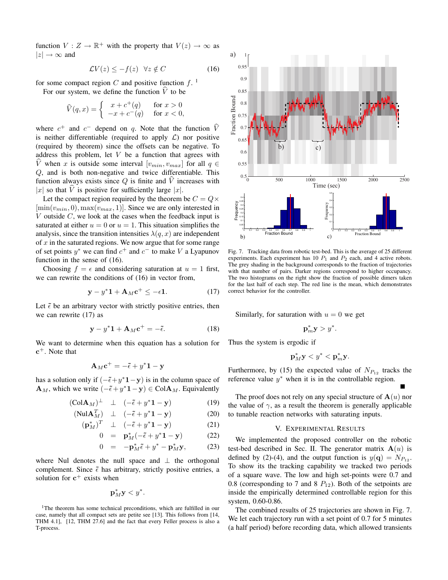function  $V: Z \to \mathbb{R}^+$  with the property that  $V(z) \to \infty$  as  $|z| \rightarrow \infty$  and

$$
\mathcal{L}V(z) \le -f(z) \quad \forall z \notin C \tag{16}
$$

for some compact region C and positive function  $f<sup>1</sup>$ For our system, we define the function  $\hat{V}$  to be

$$
\widehat{V}(q,x) = \begin{cases}\nx + c^+(q) & \text{for } x > 0 \\
-x + c^-(q) & \text{for } x < 0,\n\end{cases}
$$

where  $c^+$  and  $c^-$  depend on q. Note that the function  $\hat{V}$ is neither differentiable (required to apply  $\mathcal{L}$ ) nor positive (required by theorem) since the offsets can be negative. To address this problem, let  $V$  be a function that agrees with V when x is outside some interval  $[v_{min},v_{max}]$  for all  $q \in$ Q, and is both non-negative and twice differentiable. This function always exists since Q is finite and  $\hat{V}$  increases with |x| so that  $\hat{V}$  is positive for sufficiently large |x|.

Let the compact region required by the theorem be  $C = Q \times$  $[\min(v_{min}, 0), \max(v_{max}, 1)]$ . Since we are only interested in V outside  $C$ , we look at the cases when the feedback input is saturated at either  $u = 0$  or  $u = 1$ . This situation simplifies the analysis, since the transition intensities  $\lambda(q, x)$  are independent of  $x$  in the saturated regions. We now argue that for some range of set points  $y^*$  we can find  $c^+$  and  $c^-$  to make V a Lyapunov function in the sense of (16).

Choosing  $f = \epsilon$  and considering saturation at  $u = 1$  first, we can rewrite the conditions of (16) in vector from,

$$
\mathbf{y} - y^* \mathbf{1} + \mathbf{A}_M \mathbf{c}^+ \le -\epsilon \mathbf{1}.\tag{17}
$$

Let  $\tilde{\epsilon}$  be an arbitrary vector with strictly positive entries, then we can rewrite (17) as

$$
\mathbf{y} - y^* \mathbf{1} + \mathbf{A}_M \mathbf{c}^+ = -\tilde{\epsilon}.
$$
 (18)

We want to determine when this equation has a solution for  $c^+$ . Note that

$$
\mathbf{A}_M \mathbf{c}^+ = -\tilde{\epsilon} + y^* \mathbf{1} - \mathbf{y}
$$

has a solution only if  $(-\tilde{\epsilon} + y^*1 - y)$  is in the column space of  ${\bf A}_M$ , which we write  $(-\tilde{\epsilon} + y^*{\bf 1} - {\bf y}) \in \text{ColA}_M$ . Equivalently

$$
(\mathrm{ColA}_M)^\perp \perp (-\tilde{\epsilon} + y^* \mathbf{1} - \mathbf{y}) \tag{19}
$$

$$
(\text{Nul}\mathbf{A}_{M}^{T}) \perp (-\tilde{\epsilon} + y^* \mathbf{1} - \mathbf{y}) \tag{20}
$$

$$
(\mathbf{p}_M^*)^T \quad \perp \quad (-\tilde{\epsilon} + y^* \mathbf{1} - \mathbf{y}) \tag{21}
$$

$$
0 = \mathbf{p}_M^* \left( -\tilde{\epsilon} + y^* \mathbf{1} - \mathbf{y} \right) \tag{22}
$$

$$
0 = -\mathbf{p}_M^* \tilde{\epsilon} + y^* - \mathbf{p}_M^* \mathbf{y}, \tag{23}
$$

where Nul denotes the null space and  $\perp$  the orthogonal complement. Since  $\tilde{\epsilon}$  has arbitrary, strictly positive entries, a solution for  $c^+$  exists when

$$
\mathbf{p}_M^* \mathbf{y} < y^*.
$$

<sup>1</sup>The theorem has some technical preconditions, which are fulfilled in our case, namely that all compact sets are petite see [13]. This follows from [14, THM 4.1], [12, THM 27.6] and the fact that every Feller process is also a T-process.



Fig. 7. Tracking data from robotic test-bed. This is the average of 25 different experiments. Each experiment has 10  $P_1$  and  $P_2$  each, and 4 active robots. The grey shading in the background corresponds to the fraction of trajectories with that number of pairs. Darker regions correspond to higher occupancy. The two histograms on the right show the fraction of possible dimers taken for the last half of each step. The red line is the mean, which demonstrates correct behavior for the controller.

Similarly, for saturation with  $u = 0$  we get

$$
\mathbf{p}_m^* \mathbf{y} > y^*.
$$

Thus the system is ergodic if

$$
\mathbf{p}_M^* \mathbf{y} < y^* < \mathbf{p}_m^* \mathbf{y}.
$$

Furthermore, by (15) the expected value of  $N_{P_{12}}$  tracks the reference value  $y^*$  when it is in the controllable region.

The proof does not rely on any special structure of  $A(u)$  nor the value of  $\gamma$ , as a result the theorem is generally applicable to tunable reaction networks with saturating inputs.

#### V. EXPERIMENTAL RESULTS

We implemented the proposed controller on the robotic test-bed described in Sec. II. The generator matrix  $A(u)$  is defined by (2)-(4), and the output function is  $y(\mathbf{q}) = N_{P_{12}}$ . To show its the tracking capability we tracked two periods of a square wave. The low and high set-points were 0.7 and 0.8 (corresponding to 7 and 8  $P_{12}$ ). Both of the setpoints are inside the empirically determined controllable region for this system, 0.60-0.86.

The combined results of 25 trajectories are shown in Fig. 7. We let each trajectory run with a set point of 0.7 for 5 minutes (a half period) before recording data, which allowed transients